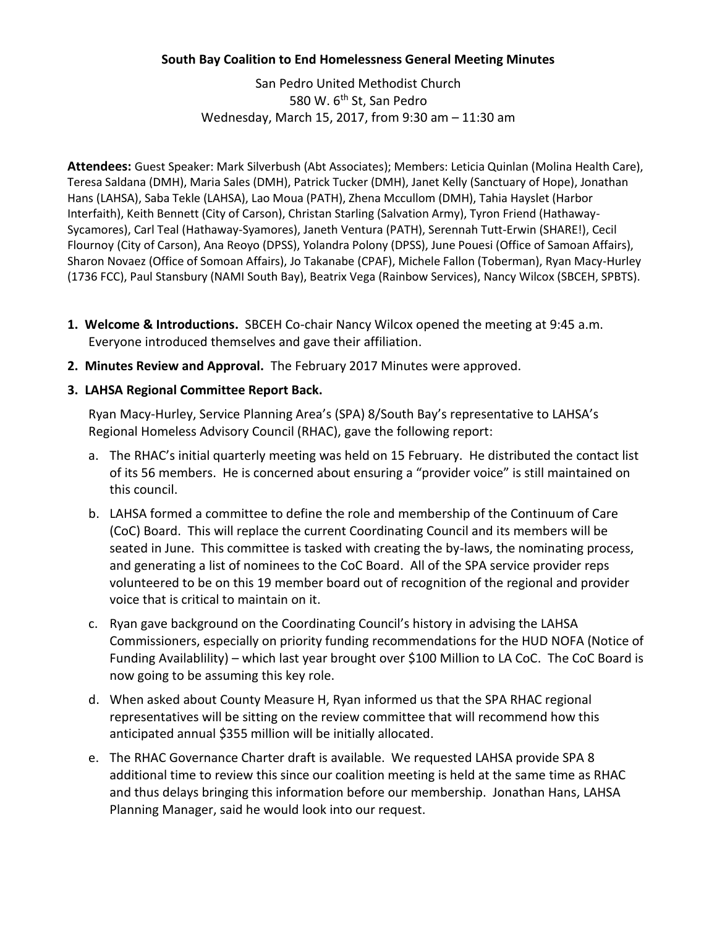## **South Bay Coalition to End Homelessness General Meeting Minutes**

San Pedro United Methodist Church 580 W. 6<sup>th</sup> St, San Pedro Wednesday, March 15, 2017, from 9:30 am – 11:30 am

**Attendees:** Guest Speaker: Mark Silverbush (Abt Associates); Members: Leticia Quinlan (Molina Health Care), Teresa Saldana (DMH), Maria Sales (DMH), Patrick Tucker (DMH), Janet Kelly (Sanctuary of Hope), Jonathan Hans (LAHSA), Saba Tekle (LAHSA), Lao Moua (PATH), Zhena Mccullom (DMH), Tahia Hayslet (Harbor Interfaith), Keith Bennett (City of Carson), Christan Starling (Salvation Army), Tyron Friend (Hathaway-Sycamores), Carl Teal (Hathaway-Syamores), Janeth Ventura (PATH), Serennah Tutt-Erwin (SHARE!), Cecil Flournoy (City of Carson), Ana Reoyo (DPSS), Yolandra Polony (DPSS), June Pouesi (Office of Samoan Affairs), Sharon Novaez (Office of Somoan Affairs), Jo Takanabe (CPAF), Michele Fallon (Toberman), Ryan Macy-Hurley (1736 FCC), Paul Stansbury (NAMI South Bay), Beatrix Vega (Rainbow Services), Nancy Wilcox (SBCEH, SPBTS).

- **1. Welcome & Introductions.** SBCEH Co-chair Nancy Wilcox opened the meeting at 9:45 a.m. Everyone introduced themselves and gave their affiliation.
- **2. Minutes Review and Approval.** The February 2017 Minutes were approved.
- **3. LAHSA Regional Committee Report Back.**

Ryan Macy-Hurley, Service Planning Area's (SPA) 8/South Bay's representative to LAHSA's Regional Homeless Advisory Council (RHAC), gave the following report:

- a. The RHAC's initial quarterly meeting was held on 15 February. He distributed the contact list of its 56 members. He is concerned about ensuring a "provider voice" is still maintained on this council.
- b. LAHSA formed a committee to define the role and membership of the Continuum of Care (CoC) Board. This will replace the current Coordinating Council and its members will be seated in June. This committee is tasked with creating the by-laws, the nominating process, and generating a list of nominees to the CoC Board. All of the SPA service provider reps volunteered to be on this 19 member board out of recognition of the regional and provider voice that is critical to maintain on it.
- c. Ryan gave background on the Coordinating Council's history in advising the LAHSA Commissioners, especially on priority funding recommendations for the HUD NOFA (Notice of Funding Availablility) – which last year brought over \$100 Million to LA CoC. The CoC Board is now going to be assuming this key role.
- d. When asked about County Measure H, Ryan informed us that the SPA RHAC regional representatives will be sitting on the review committee that will recommend how this anticipated annual \$355 million will be initially allocated.
- e. The RHAC Governance Charter draft is available. We requested LAHSA provide SPA 8 additional time to review this since our coalition meeting is held at the same time as RHAC and thus delays bringing this information before our membership. Jonathan Hans, LAHSA Planning Manager, said he would look into our request.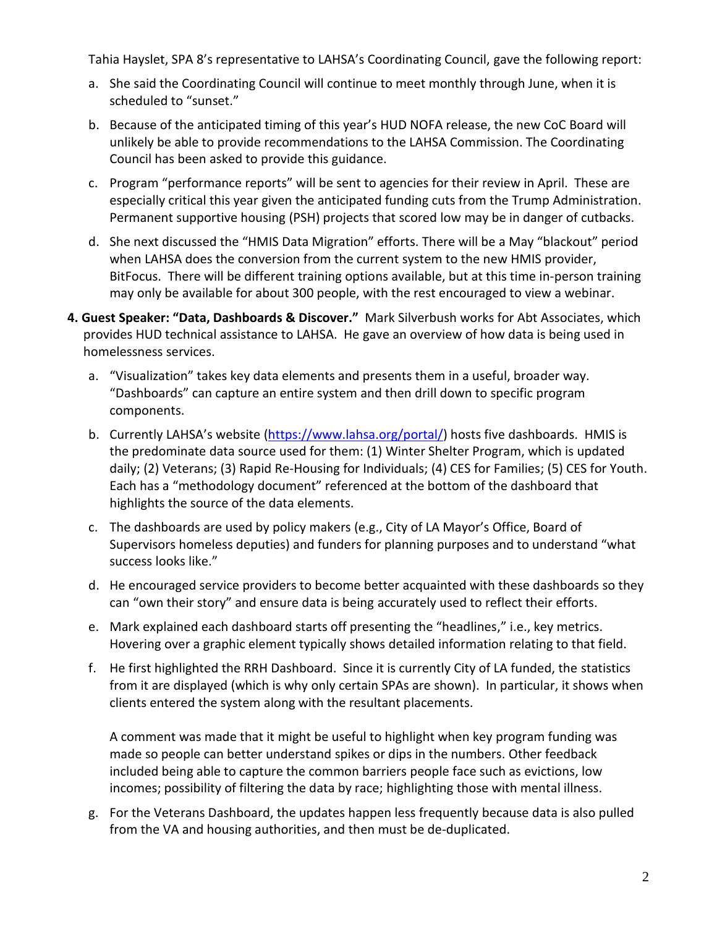Tahia Hayslet, SPA 8's representative to LAHSA's Coordinating Council, gave the following report:

- a. She said the Coordinating Council will continue to meet monthly through June, when it is scheduled to "sunset."
- b. Because of the anticipated timing of this year's HUD NOFA release, the new CoC Board will unlikely be able to provide recommendations to the LAHSA Commission. The Coordinating Council has been asked to provide this guidance.
- c. Program "performance reports" will be sent to agencies for their review in April. These are especially critical this year given the anticipated funding cuts from the Trump Administration. Permanent supportive housing (PSH) projects that scored low may be in danger of cutbacks.
- d. She next discussed the "HMIS Data Migration" efforts. There will be a May "blackout" period when LAHSA does the conversion from the current system to the new HMIS provider, BitFocus. There will be different training options available, but at this time in-person training may only be available for about 300 people, with the rest encouraged to view a webinar.
- **4. Guest Speaker: "Data, Dashboards & Discover."** Mark Silverbush works for Abt Associates, which provides HUD technical assistance to LAHSA. He gave an overview of how data is being used in homelessness services.
	- a. "Visualization" takes key data elements and presents them in a useful, broader way. "Dashboards" can capture an entire system and then drill down to specific program components.
	- b. Currently LAHSA's website [\(https://www.lahsa.org/portal/\)](https://www.lahsa.org/portal/) hosts five dashboards. HMIS is the predominate data source used for them: (1) Winter Shelter Program, which is updated daily; (2) Veterans; (3) Rapid Re-Housing for Individuals; (4) CES for Families; (5) CES for Youth. Each has a "methodology document" referenced at the bottom of the dashboard that highlights the source of the data elements.
	- c. The dashboards are used by policy makers (e.g., City of LA Mayor's Office, Board of Supervisors homeless deputies) and funders for planning purposes and to understand "what success looks like."
	- d. He encouraged service providers to become better acquainted with these dashboards so they can "own their story" and ensure data is being accurately used to reflect their efforts.
	- e. Mark explained each dashboard starts off presenting the "headlines," i.e., key metrics. Hovering over a graphic element typically shows detailed information relating to that field.
	- f. He first highlighted the RRH Dashboard. Since it is currently City of LA funded, the statistics from it are displayed (which is why only certain SPAs are shown). In particular, it shows when clients entered the system along with the resultant placements.

A comment was made that it might be useful to highlight when key program funding was made so people can better understand spikes or dips in the numbers. Other feedback included being able to capture the common barriers people face such as evictions, low incomes; possibility of filtering the data by race; highlighting those with mental illness.

g. For the Veterans Dashboard, the updates happen less frequently because data is also pulled from the VA and housing authorities, and then must be de-duplicated.